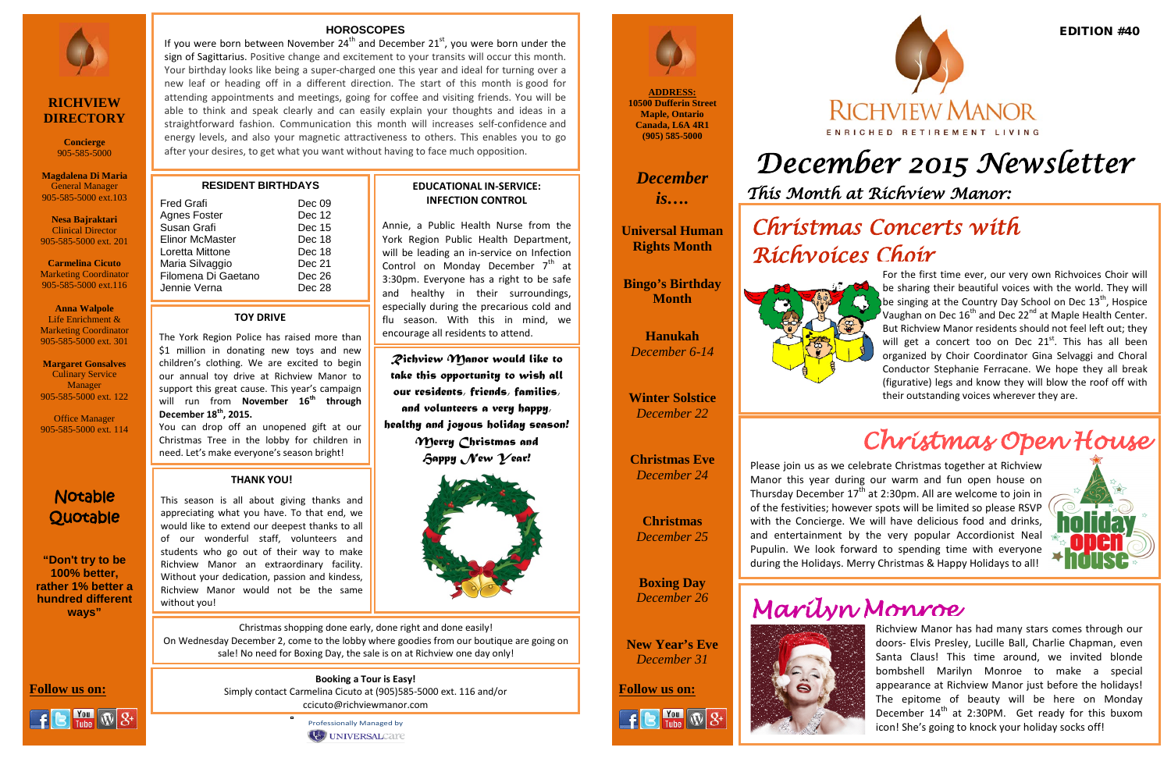# *December 2015 Newsletter*

**ADDRESS: 10500 Dufferin Street Maple, Ontario Canada, L6A 4R1 (905) 585-5000**

*December is….*

**Universal Human Rights Month**

**Bingo's Birthday Month**

### Notable **Quotable**

**Hanukah**  *December 6-14*

**Winter Solstice**  *December 22*

**Christmas Eve** *December 24*

**Christmas** *December 25*

**Boxing Day** *December 26*

**New Year's Eve** *December 31*

**Follow us on: Follow us on:** Simply contact Carmelina Cicuto at (905)585-5000 ext. 116 and/or



# ENRICHED RETIREMENT LIVING

**"Don't try to be 100% better, rather 1% better a hundred different ways"**



### **RICHVIEW DIRECTORY**

**Concierge** 905-585-5000

**Magdalena Di Maria** General Manager 905-585-5000 ext.103

IJ

**Nesa Bajraktari** Clinical Director 905-585-5000 ext. 201

**Carmelina Cicuto** Marketing Coordinator 905-585-5000 ext.116

**Anna Walpole** Life Enrichment & Marketing Coordinator 905-585-5000 ext. 301

**Margaret Gonsalves** Culinary Service Manager 905-585-5000 ext. 122

Office Manager 905-585-5000 ext. 114 *This Month at Richview Manor:* 



### **RESIDENT BIRTHDAYS**

If you were born between November  $24^{th}$  and December  $21^{st}$ , you were born under the sign of Sagittarius. Positive change and excitement to your transits will occur this month. Your birthday looks like being a super-charged one this year and ideal for turning over a new leaf or heading off in a different direction. The start of this month is good for attending appointments and meetings, going for coffee and visiting friends. You will be able to think and speak clearly and can easily explain your thoughts and ideas in a straightforward fashion. Communication this month will increases self-confidence and energy levels, and also your magnetic attractiveness to others. This enables you to go after your desires, to get what you want without having to face much opposition.

> ccicuto@richviewmanor.com Professionally Managed by UNIVERSALCAre



| <b>Fred Grafi</b><br><b>Agnes Foster</b> | Dec 09<br>Dec 12 |
|------------------------------------------|------------------|
| Susan Grafi                              | Dec 15           |
| <b>Elinor McMaster</b>                   | Dec 18           |
| Loretta Mittone                          | Dec 18           |
| Maria Silvaggio                          | Dec 21           |
| Filomena Di Gaetano                      | Dec 26           |
| Jennie Verna                             | Dec 28           |

### **HOROSCOPES**

be singing at the country bay sender on bee 15<sup>-</sup>, hospite<br>Vaughan on Dec 16<sup>th</sup> and Dec 22<sup>nd</sup> at Maple Health Center. For the first time ever, our very own Richvoices Choir will be sharing their beautiful voices with the world. They will be singing at the Country Day School on Dec  $13<sup>th</sup>$ , Hospice But Richview Manor residents should not feel left out; they will get a concert too on Dec  $21<sup>st</sup>$ . This has all been organized by Choir Coordinator Gina Selvaggi and Choral Conductor Stephanie Ferracane. We hope they all break (figurative) legs and know they will blow the roof off with their outstanding voices wherever they are.

**Booking a Tour is Easy!**

**Follow us on:** 

 $\frac{$  You  $\sqrt{3}$   $\sqrt{3}$ 

**EDUCATIONAL IN-SERVICE: INFECTION CONTROL**

Annie, a Public Health Nurse from the York Region Public Health Department, will be leading an in-service on Infection Control on Monday December  $7<sup>th</sup>$  at 3:30pm. Everyone has a right to be safe and healthy in their surroundings, especially during the precarious cold and flu season. With this in mind, we

encourage all residents to attend.

### **TOY DRIVE**

The York Region Police has raised more than \$1 million in donating new toys and new children's clothing. We are excited to begin our annual toy drive at Richview Manor to support this great cause. This year's campaign will run from **November 16th through December 18th, 2015.**

You can drop off an unopened gift at our Christmas Tree in the lobby for children in need. Let's make everyone's season bright!

## *Christmas Concerts with*

*Richvoices Choir* 



## *Christmas Open House*



### **THANK YOU!**

This season is all about giving thanks and appreciating what you have. To that end, we would like to extend our deepest thanks to all of our wonderful staff, volunteers and students who go out of their way to make Richview Manor an extraordinary facility. Without your dedication, passion and kindess, Richview Manor would not be the same



Please join us as we celebrate Christmas together at Richview Manor this year during our warm and fun open house on Thursday December  $17<sup>th</sup>$  at 2:30pm. All are welcome to join in of the festivities; however spots will be limited so please RSVP with the Concierge. We will have delicious food and drinks, and entertainment by the very popular Accordionist Neal Pupulin. We look forward to spending time with everyone during the Holidays. Merry Christmas & Happy Holidays to all!



*Richview Manor would like to take this opportunity to wish all our residents, friends, families, and volunteers a very happy, healthy and joyous holiday season! Merry Christmas and Happy New Year!*

> Richview Manor has had many stars comes through our doors- Elvis Presley, Lucille Ball, Charlie Chapman, even Santa Claus! This time around, we invited blonde bombshell Marilyn Monroe to make a special appearance at Richview Manor just before the holidays! The epitome of beauty will be here on Monday December  $14<sup>th</sup>$  at 2:30PM. Get ready for this buxom icon! She's going to knock your holiday socks off!

Christmas shopping done early, done right and done easily! On Wednesday December 2, come to the lobby where goodies from our boutique are going on sale! No need for Boxing Day, the sale is on at Richview one day only!